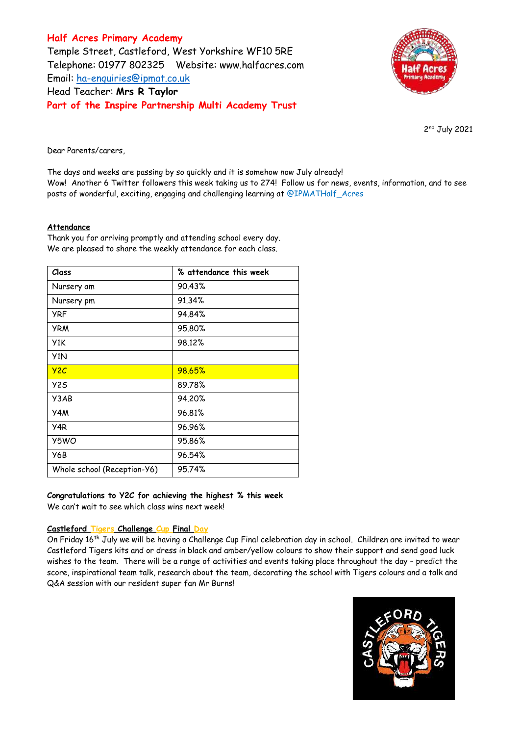# **Half Acres Primary Academy** Temple Street, Castleford, West Yorkshire WF10 5RE Telephone: 01977 802325 Website: [www.halfacres.com](http://www.halfacres.com/) Email: [ha-enquiries@ipmat.co.uk](mailto:ha-enquiries@ipmat.co.uk) Head Teacher: **Mrs R Taylor Part of the Inspire Partnership Multi Academy Trust**



2<sup>nd</sup> July 2021

Dear Parents/carers,

The days and weeks are passing by so quickly and it is somehow now July already! Wow! Another 6 Twitter followers this week taking us to 274! Follow us for news, events, information, and to see posts of wonderful, exciting, engaging and challenging learning at @IPMATHalf\_Acres

## **Attendance**

Thank you for arriving promptly and attending school every day. We are pleased to share the weekly attendance for each class.

| Class                       | % attendance this week |
|-----------------------------|------------------------|
| Nursery am                  | 90.43%                 |
| Nursery pm                  | 91.34%                 |
| <b>YRF</b>                  | 94.84%                 |
| <b>YRM</b>                  | 95.80%                 |
| Y1K                         | 98.12%                 |
| Y <sub>1</sub> N            |                        |
| YZC                         | 98.65%                 |
| Y <sub>2</sub> S            | 89.78%                 |
| Y3AB                        | 94.20%                 |
| Y4M                         | 96.81%                 |
| Y4R                         | 96.96%                 |
| Y5WO                        | 95.86%                 |
| Y6B                         | 96.54%                 |
| Whole school (Reception-Y6) | 95.74%                 |

## **Congratulations to Y2C for achieving the highest % this week**

We can't wait to see which class wins next week!

## **Castleford Tigers Challenge Cup Final Day**

On Friday 16<sup>th</sup> July we will be having a Challenge Cup Final celebration day in school. Children are invited to wear Castleford Tigers kits and or dress in black and amber/yellow colours to show their support and send good luck wishes to the team. There will be a range of activities and events taking place throughout the day – predict the score, inspirational team talk, research about the team, decorating the school with Tigers colours and a talk and Q&A session with our resident super fan Mr Burns!